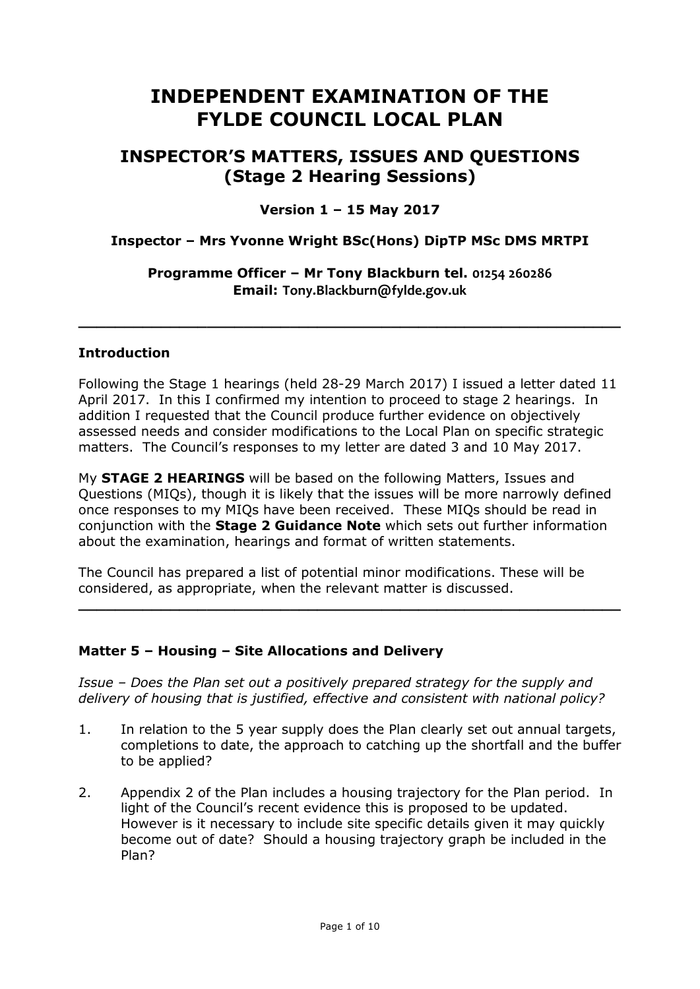# **INDEPENDENT EXAMINATION OF THE FYLDE COUNCIL LOCAL PLAN**

## **INSPECTOR'S MATTERS, ISSUES AND QUESTIONS (Stage 2 Hearing Sessions)**

## **Version 1 – 15 May 2017**

## **Inspector – Mrs Yvonne Wright BSc(Hons) DipTP MSc DMS MRTPI**

#### **Programme Officer – Mr Tony Blackburn tel. 01254 260286 Email: Tony.Blackburn@fylde.gov.uk**

**\_\_\_\_\_\_\_\_\_\_\_\_\_\_\_\_\_\_\_\_\_\_\_\_\_\_\_\_\_\_\_\_\_\_\_\_\_\_\_\_\_\_\_\_\_\_\_\_\_\_\_\_\_\_\_\_\_\_\_**

#### **Introduction**

Following the Stage 1 hearings (held 28-29 March 2017) I issued a letter dated 11 April 2017. In this I confirmed my intention to proceed to stage 2 hearings. In addition I requested that the Council produce further evidence on objectively assessed needs and consider modifications to the Local Plan on specific strategic matters. The Council's responses to my letter are dated 3 and 10 May 2017.

My **STAGE 2 HEARINGS** will be based on the following Matters, Issues and Questions (MIQs), though it is likely that the issues will be more narrowly defined once responses to my MIQs have been received. These MIQs should be read in conjunction with the **Stage 2 Guidance Note** which sets out further information about the examination, hearings and format of written statements.

The Council has prepared a list of potential minor modifications. These will be considered, as appropriate, when the relevant matter is discussed.

**\_\_\_\_\_\_\_\_\_\_\_\_\_\_\_\_\_\_\_\_\_\_\_\_\_\_\_\_\_\_\_\_\_\_\_\_\_\_\_\_\_\_\_\_\_\_\_\_\_\_\_\_\_\_\_\_\_\_\_**

#### **Matter 5 – Housing – Site Allocations and Delivery**

*Issue – Does the Plan set out a positively prepared strategy for the supply and delivery of housing that is justified, effective and consistent with national policy?* 

- 1. In relation to the 5 year supply does the Plan clearly set out annual targets, completions to date, the approach to catching up the shortfall and the buffer to be applied?
- 2. Appendix 2 of the Plan includes a housing trajectory for the Plan period. In light of the Council's recent evidence this is proposed to be updated. However is it necessary to include site specific details given it may quickly become out of date? Should a housing trajectory graph be included in the Plan?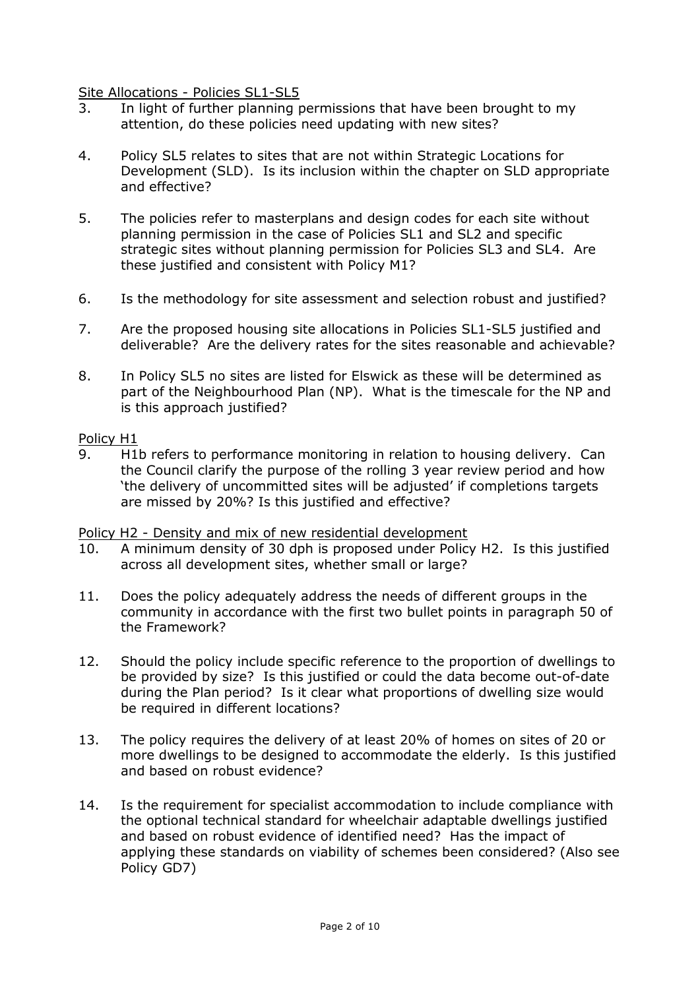Site Allocations - Policies SL1-SL5

- 3. In light of further planning permissions that have been brought to my attention, do these policies need updating with new sites?
- 4. Policy SL5 relates to sites that are not within Strategic Locations for Development (SLD). Is its inclusion within the chapter on SLD appropriate and effective?
- 5. The policies refer to masterplans and design codes for each site without planning permission in the case of Policies SL1 and SL2 and specific strategic sites without planning permission for Policies SL3 and SL4. Are these justified and consistent with Policy M1?
- 6. Is the methodology for site assessment and selection robust and justified?
- 7. Are the proposed housing site allocations in Policies SL1-SL5 justified and deliverable? Are the delivery rates for the sites reasonable and achievable?
- 8. In Policy SL5 no sites are listed for Elswick as these will be determined as part of the Neighbourhood Plan (NP). What is the timescale for the NP and is this approach justified?

#### Policy H1

9. H1b refers to performance monitoring in relation to housing delivery. Can the Council clarify the purpose of the rolling 3 year review period and how 'the delivery of uncommitted sites will be adjusted' if completions targets are missed by 20%? Is this justified and effective?

#### Policy H2 - Density and mix of new residential development

- 10. A minimum density of 30 dph is proposed under Policy H2. Is this justified across all development sites, whether small or large?
- 11. Does the policy adequately address the needs of different groups in the community in accordance with the first two bullet points in paragraph 50 of the Framework?
- 12. Should the policy include specific reference to the proportion of dwellings to be provided by size? Is this justified or could the data become out-of-date during the Plan period? Is it clear what proportions of dwelling size would be required in different locations?
- 13. The policy requires the delivery of at least 20% of homes on sites of 20 or more dwellings to be designed to accommodate the elderly. Is this justified and based on robust evidence?
- 14. Is the requirement for specialist accommodation to include compliance with the optional technical standard for wheelchair adaptable dwellings justified and based on robust evidence of identified need? Has the impact of applying these standards on viability of schemes been considered? (Also see Policy GD7)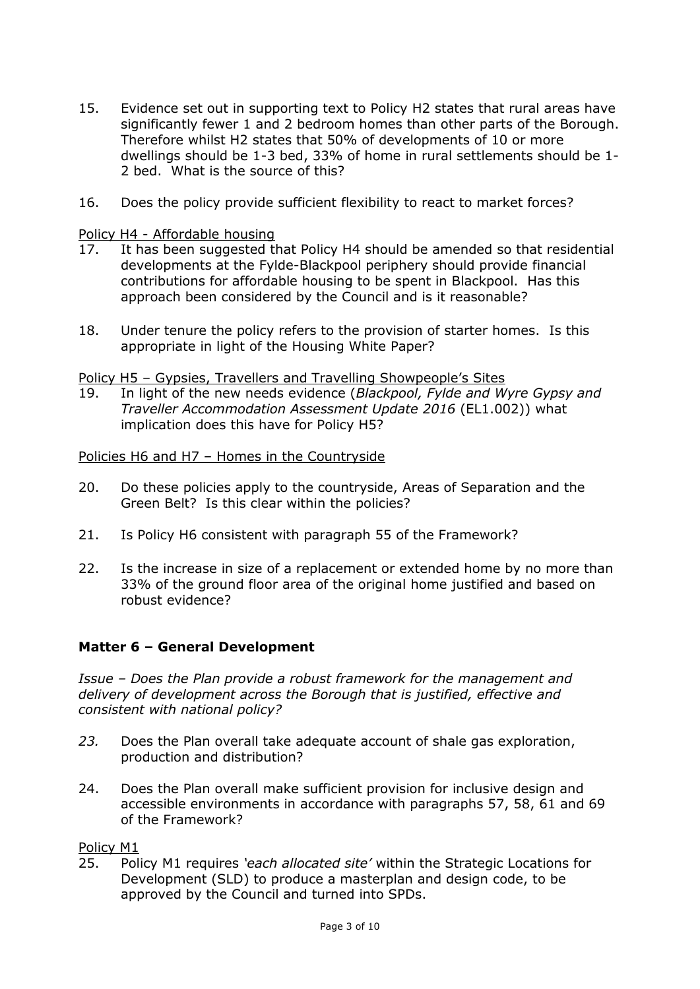- 15. Evidence set out in supporting text to Policy H2 states that rural areas have significantly fewer 1 and 2 bedroom homes than other parts of the Borough. Therefore whilst H2 states that 50% of developments of 10 or more dwellings should be 1-3 bed, 33% of home in rural settlements should be 1- 2 bed. What is the source of this?
- 16. Does the policy provide sufficient flexibility to react to market forces?

Policy H4 - Affordable housing

- 17. It has been suggested that Policy H4 should be amended so that residential developments at the Fylde-Blackpool periphery should provide financial contributions for affordable housing to be spent in Blackpool. Has this approach been considered by the Council and is it reasonable?
- 18. Under tenure the policy refers to the provision of starter homes. Is this appropriate in light of the Housing White Paper?

Policy H5 – Gypsies, Travellers and Travelling Showpeople's Sites

19. In light of the new needs evidence (*Blackpool, Fylde and Wyre Gypsy and Traveller Accommodation Assessment Update 2016* (EL1.002)) what implication does this have for Policy H5?

Policies H6 and H7 – Homes in the Countryside

- 20. Do these policies apply to the countryside, Areas of Separation and the Green Belt? Is this clear within the policies?
- 21. Is Policy H6 consistent with paragraph 55 of the Framework?
- 22. Is the increase in size of a replacement or extended home by no more than 33% of the ground floor area of the original home justified and based on robust evidence?

## **Matter 6 – General Development**

*Issue – Does the Plan provide a robust framework for the management and delivery of development across the Borough that is justified, effective and consistent with national policy?* 

- *23.* Does the Plan overall take adequate account of shale gas exploration, production and distribution?
- 24. Does the Plan overall make sufficient provision for inclusive design and accessible environments in accordance with paragraphs 57, 58, 61 and 69 of the Framework?

Policy M1

25. Policy M1 requires *'each allocated site'* within the Strategic Locations for Development (SLD) to produce a masterplan and design code, to be approved by the Council and turned into SPDs.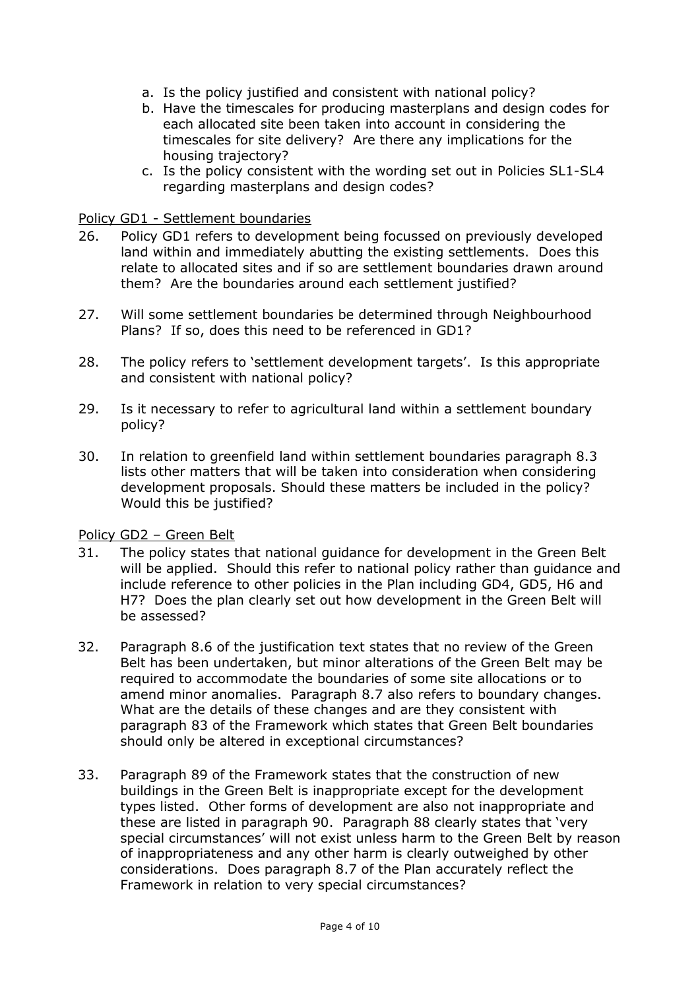- a. Is the policy justified and consistent with national policy?
- b. Have the timescales for producing masterplans and design codes for each allocated site been taken into account in considering the timescales for site delivery? Are there any implications for the housing trajectory?
- c. Is the policy consistent with the wording set out in Policies SL1-SL4 regarding masterplans and design codes?

### Policy GD1 - Settlement boundaries

- 26. Policy GD1 refers to development being focussed on previously developed land within and immediately abutting the existing settlements. Does this relate to allocated sites and if so are settlement boundaries drawn around them? Are the boundaries around each settlement justified?
- 27. Will some settlement boundaries be determined through Neighbourhood Plans? If so, does this need to be referenced in GD1?
- 28. The policy refers to 'settlement development targets'. Is this appropriate and consistent with national policy?
- 29. Is it necessary to refer to agricultural land within a settlement boundary policy?
- 30. In relation to greenfield land within settlement boundaries paragraph 8.3 lists other matters that will be taken into consideration when considering development proposals. Should these matters be included in the policy? Would this be justified?

## Policy GD2 – Green Belt

- 31. The policy states that national guidance for development in the Green Belt will be applied. Should this refer to national policy rather than guidance and include reference to other policies in the Plan including GD4, GD5, H6 and H7? Does the plan clearly set out how development in the Green Belt will be assessed?
- 32. Paragraph 8.6 of the justification text states that no review of the Green Belt has been undertaken, but minor alterations of the Green Belt may be required to accommodate the boundaries of some site allocations or to amend minor anomalies. Paragraph 8.7 also refers to boundary changes. What are the details of these changes and are they consistent with paragraph 83 of the Framework which states that Green Belt boundaries should only be altered in exceptional circumstances?
- 33. Paragraph 89 of the Framework states that the construction of new buildings in the Green Belt is inappropriate except for the development types listed. Other forms of development are also not inappropriate and these are listed in paragraph 90. Paragraph 88 clearly states that 'very special circumstances' will not exist unless harm to the Green Belt by reason of inappropriateness and any other harm is clearly outweighed by other considerations. Does paragraph 8.7 of the Plan accurately reflect the Framework in relation to very special circumstances?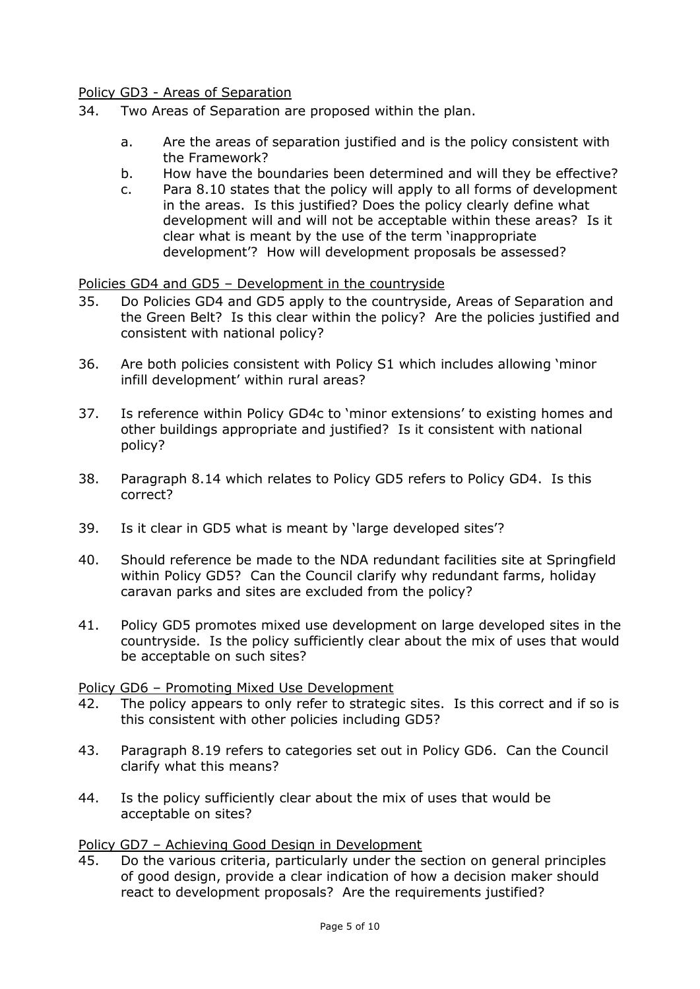Policy GD3 - Areas of Separation

- 34. Two Areas of Separation are proposed within the plan.
	- a. Are the areas of separation justified and is the policy consistent with the Framework?
	- b. How have the boundaries been determined and will they be effective?
	- c. Para 8.10 states that the policy will apply to all forms of development in the areas. Is this justified? Does the policy clearly define what development will and will not be acceptable within these areas? Is it clear what is meant by the use of the term 'inappropriate development'? How will development proposals be assessed?

Policies GD4 and GD5 – Development in the countryside

- 35. Do Policies GD4 and GD5 apply to the countryside, Areas of Separation and the Green Belt? Is this clear within the policy? Are the policies justified and consistent with national policy?
- 36. Are both policies consistent with Policy S1 which includes allowing 'minor infill development' within rural areas?
- 37. Is reference within Policy GD4c to 'minor extensions' to existing homes and other buildings appropriate and justified? Is it consistent with national policy?
- 38. Paragraph 8.14 which relates to Policy GD5 refers to Policy GD4. Is this correct?
- 39. Is it clear in GD5 what is meant by 'large developed sites'?
- 40. Should reference be made to the NDA redundant facilities site at Springfield within Policy GD5? Can the Council clarify why redundant farms, holiday caravan parks and sites are excluded from the policy?
- 41. Policy GD5 promotes mixed use development on large developed sites in the countryside. Is the policy sufficiently clear about the mix of uses that would be acceptable on such sites?

Policy GD6 – Promoting Mixed Use Development

- 42. The policy appears to only refer to strategic sites. Is this correct and if so is this consistent with other policies including GD5?
- 43. Paragraph 8.19 refers to categories set out in Policy GD6. Can the Council clarify what this means?
- 44. Is the policy sufficiently clear about the mix of uses that would be acceptable on sites?

Policy GD7 – Achieving Good Design in Development

45. Do the various criteria, particularly under the section on general principles of good design, provide a clear indication of how a decision maker should react to development proposals? Are the requirements justified?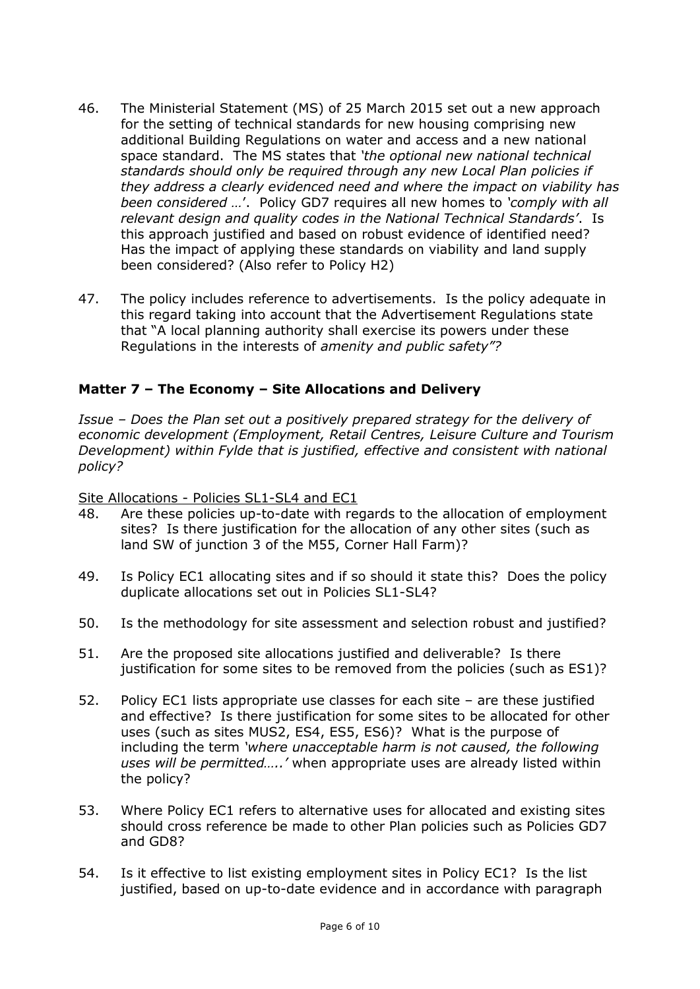- 46. The Ministerial Statement (MS) of 25 March 2015 set out a new approach for the setting of technical standards for new housing comprising new additional Building Regulations on water and access and a new national space standard. The MS states that *'the optional new national technical standards should only be required through any new Local Plan policies if they address a clearly evidenced need and where the impact on viability has been considered …*'. Policy GD7 requires all new homes to *'comply with all relevant design and quality codes in the National Technical Standards'*. Is this approach justified and based on robust evidence of identified need? Has the impact of applying these standards on viability and land supply been considered? (Also refer to Policy H2)
- 47. The policy includes reference to advertisements. Is the policy adequate in this regard taking into account that the Advertisement Regulations state that "A local planning authority shall exercise its powers under these Regulations in the interests of *amenity and public safety"?*

## **Matter 7 – The Economy – Site Allocations and Delivery**

*Issue – Does the Plan set out a positively prepared strategy for the delivery of economic development (Employment, Retail Centres, Leisure Culture and Tourism Development) within Fylde that is justified, effective and consistent with national policy?* 

Site Allocations - Policies SL1-SL4 and EC1

- 48. Are these policies up-to-date with regards to the allocation of employment sites? Is there justification for the allocation of any other sites (such as land SW of junction 3 of the M55, Corner Hall Farm)?
- 49. Is Policy EC1 allocating sites and if so should it state this? Does the policy duplicate allocations set out in Policies SL1-SL4?
- 50. Is the methodology for site assessment and selection robust and justified?
- 51. Are the proposed site allocations justified and deliverable? Is there justification for some sites to be removed from the policies (such as ES1)?
- 52. Policy EC1 lists appropriate use classes for each site are these justified and effective? Is there justification for some sites to be allocated for other uses (such as sites MUS2, ES4, ES5, ES6)? What is the purpose of including the term *'where unacceptable harm is not caused, the following uses will be permitted…..'* when appropriate uses are already listed within the policy?
- 53. Where Policy EC1 refers to alternative uses for allocated and existing sites should cross reference be made to other Plan policies such as Policies GD7 and GD8?
- 54. Is it effective to list existing employment sites in Policy EC1? Is the list justified, based on up-to-date evidence and in accordance with paragraph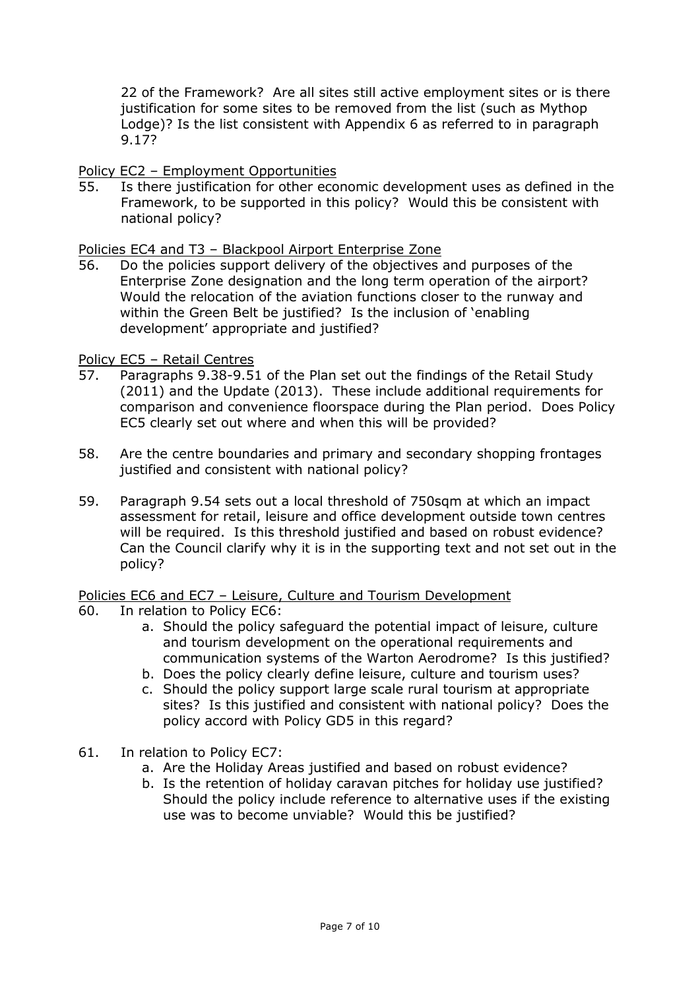22 of the Framework? Are all sites still active employment sites or is there justification for some sites to be removed from the list (such as Mythop Lodge)? Is the list consistent with Appendix 6 as referred to in paragraph 9.17?

### Policy EC2 – Employment Opportunities

55. Is there justification for other economic development uses as defined in the Framework, to be supported in this policy? Would this be consistent with national policy?

#### Policies EC4 and T3 – Blackpool Airport Enterprise Zone

56. Do the policies support delivery of the objectives and purposes of the Enterprise Zone designation and the long term operation of the airport? Would the relocation of the aviation functions closer to the runway and within the Green Belt be justified? Is the inclusion of 'enabling development' appropriate and justified?

#### Policy EC5 – Retail Centres

- 57. Paragraphs 9.38-9.51 of the Plan set out the findings of the Retail Study (2011) and the Update (2013). These include additional requirements for comparison and convenience floorspace during the Plan period. Does Policy EC5 clearly set out where and when this will be provided?
- 58. Are the centre boundaries and primary and secondary shopping frontages justified and consistent with national policy?
- 59. Paragraph 9.54 sets out a local threshold of 750sqm at which an impact assessment for retail, leisure and office development outside town centres will be required. Is this threshold justified and based on robust evidence? Can the Council clarify why it is in the supporting text and not set out in the policy?

## Policies EC6 and EC7 - Leisure, Culture and Tourism Development

- 60. In relation to Policy EC6:
	- a. Should the policy safeguard the potential impact of leisure, culture and tourism development on the operational requirements and communication systems of the Warton Aerodrome? Is this justified?
	- b. Does the policy clearly define leisure, culture and tourism uses?
	- c. Should the policy support large scale rural tourism at appropriate sites? Is this justified and consistent with national policy? Does the policy accord with Policy GD5 in this regard?
- 61. In relation to Policy EC7:
	- a. Are the Holiday Areas justified and based on robust evidence?
	- b. Is the retention of holiday caravan pitches for holiday use justified? Should the policy include reference to alternative uses if the existing use was to become unviable? Would this be justified?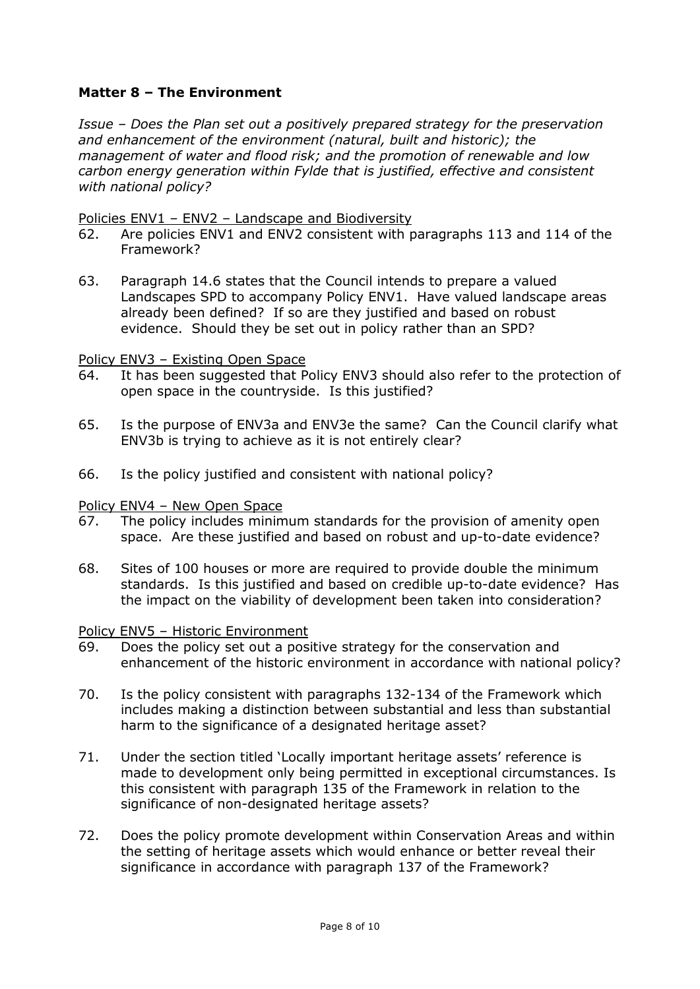## **Matter 8 – The Environment**

*Issue – Does the Plan set out a positively prepared strategy for the preservation and enhancement of the environment (natural, built and historic); the management of water and flood risk; and the promotion of renewable and low carbon energy generation within Fylde that is justified, effective and consistent with national policy?* 

#### Policies ENV1 – ENV2 – Landscape and Biodiversity

- 62. Are policies ENV1 and ENV2 consistent with paragraphs 113 and 114 of the Framework?
- 63. Paragraph 14.6 states that the Council intends to prepare a valued Landscapes SPD to accompany Policy ENV1. Have valued landscape areas already been defined? If so are they justified and based on robust evidence. Should they be set out in policy rather than an SPD?

#### Policy ENV3 – Existing Open Space

- 64. It has been suggested that Policy ENV3 should also refer to the protection of open space in the countryside. Is this justified?
- 65. Is the purpose of ENV3a and ENV3e the same? Can the Council clarify what ENV3b is trying to achieve as it is not entirely clear?
- 66. Is the policy justified and consistent with national policy?

#### Policy ENV4 – New Open Space

- 67. The policy includes minimum standards for the provision of amenity open space. Are these justified and based on robust and up-to-date evidence?
- 68. Sites of 100 houses or more are required to provide double the minimum standards. Is this justified and based on credible up-to-date evidence? Has the impact on the viability of development been taken into consideration?

#### Policy ENV5 – Historic Environment

- 69. Does the policy set out a positive strategy for the conservation and enhancement of the historic environment in accordance with national policy?
- 70. Is the policy consistent with paragraphs 132-134 of the Framework which includes making a distinction between substantial and less than substantial harm to the significance of a designated heritage asset?
- 71. Under the section titled 'Locally important heritage assets' reference is made to development only being permitted in exceptional circumstances. Is this consistent with paragraph 135 of the Framework in relation to the significance of non-designated heritage assets?
- 72. Does the policy promote development within Conservation Areas and within the setting of heritage assets which would enhance or better reveal their significance in accordance with paragraph 137 of the Framework?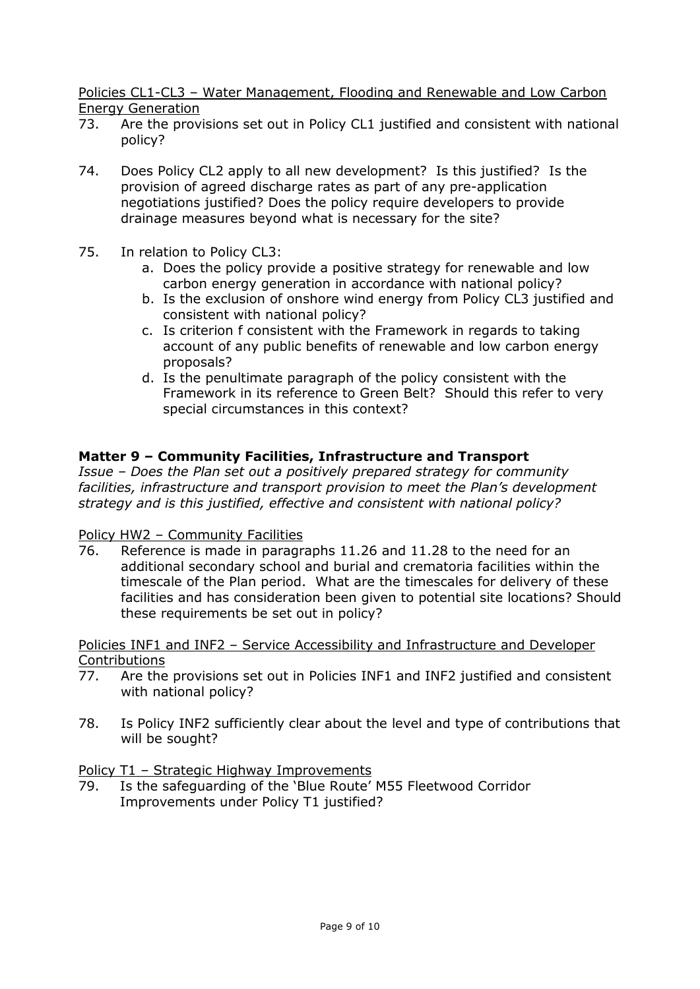Policies CL1-CL3 – Water Management, Flooding and Renewable and Low Carbon Energy Generation

- 73. Are the provisions set out in Policy CL1 justified and consistent with national policy?
- 74. Does Policy CL2 apply to all new development? Is this justified? Is the provision of agreed discharge rates as part of any pre-application negotiations justified? Does the policy require developers to provide drainage measures beyond what is necessary for the site?
- 75. In relation to Policy CL3:
	- a. Does the policy provide a positive strategy for renewable and low carbon energy generation in accordance with national policy?
	- b. Is the exclusion of onshore wind energy from Policy CL3 justified and consistent with national policy?
	- c. Is criterion f consistent with the Framework in regards to taking account of any public benefits of renewable and low carbon energy proposals?
	- d. Is the penultimate paragraph of the policy consistent with the Framework in its reference to Green Belt? Should this refer to very special circumstances in this context?

## **Matter 9 – Community Facilities, Infrastructure and Transport**

*Issue – Does the Plan set out a positively prepared strategy for community facilities, infrastructure and transport provision to meet the Plan's development strategy and is this justified, effective and consistent with national policy?* 

#### Policy HW2 – Community Facilities

76. Reference is made in paragraphs 11.26 and 11.28 to the need for an additional secondary school and burial and crematoria facilities within the timescale of the Plan period. What are the timescales for delivery of these facilities and has consideration been given to potential site locations? Should these requirements be set out in policy?

#### Policies INF1 and INF2 – Service Accessibility and Infrastructure and Developer Contributions

- 77. Are the provisions set out in Policies INF1 and INF2 justified and consistent with national policy?
- 78. Is Policy INF2 sufficiently clear about the level and type of contributions that will be sought?

## Policy T1 – Strategic Highway Improvements

79. Is the safeguarding of the 'Blue Route' M55 Fleetwood Corridor Improvements under Policy T1 justified?